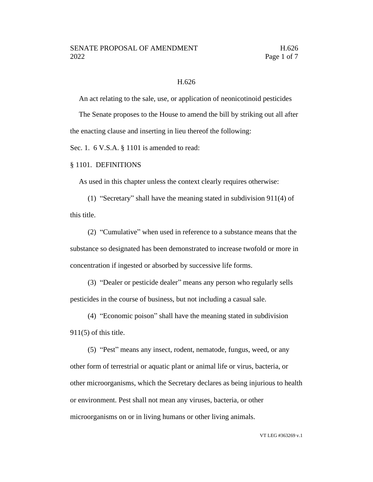#### H.626

An act relating to the sale, use, or application of neonicotinoid pesticides

The Senate proposes to the House to amend the bill by striking out all after the enacting clause and inserting in lieu thereof the following:

Sec. 1. 6 V.S.A. § 1101 is amended to read:

#### § 1101. DEFINITIONS

As used in this chapter unless the context clearly requires otherwise:

(1) "Secretary" shall have the meaning stated in subdivision 911(4) of this title.

(2) "Cumulative" when used in reference to a substance means that the substance so designated has been demonstrated to increase twofold or more in concentration if ingested or absorbed by successive life forms.

(3) "Dealer or pesticide dealer" means any person who regularly sells pesticides in the course of business, but not including a casual sale.

(4) "Economic poison" shall have the meaning stated in subdivision  $911(5)$  of this title.

(5) "Pest" means any insect, rodent, nematode, fungus, weed, or any other form of terrestrial or aquatic plant or animal life or virus, bacteria, or other microorganisms, which the Secretary declares as being injurious to health or environment. Pest shall not mean any viruses, bacteria, or other microorganisms on or in living humans or other living animals.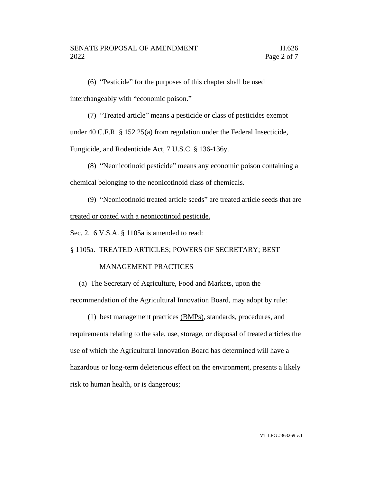(6) "Pesticide" for the purposes of this chapter shall be used interchangeably with "economic poison."

(7) "Treated article" means a pesticide or class of pesticides exempt under 40 C.F.R. § 152.25(a) from regulation under the Federal Insecticide,

Fungicide, and Rodenticide Act, 7 U.S.C. § 136-136y.

(8) "Neonicotinoid pesticide" means any economic poison containing a chemical belonging to the neonicotinoid class of chemicals.

(9) "Neonicotinoid treated article seeds" are treated article seeds that are treated or coated with a neonicotinoid pesticide.

Sec. 2. 6 V.S.A. § 1105a is amended to read:

§ 1105a. TREATED ARTICLES; POWERS OF SECRETARY; BEST

### MANAGEMENT PRACTICES

(a) The Secretary of Agriculture, Food and Markets, upon the

recommendation of the Agricultural Innovation Board, may adopt by rule:

(1) best management practices (BMPs), standards, procedures, and

requirements relating to the sale, use, storage, or disposal of treated articles the use of which the Agricultural Innovation Board has determined will have a hazardous or long-term deleterious effect on the environment, presents a likely risk to human health, or is dangerous;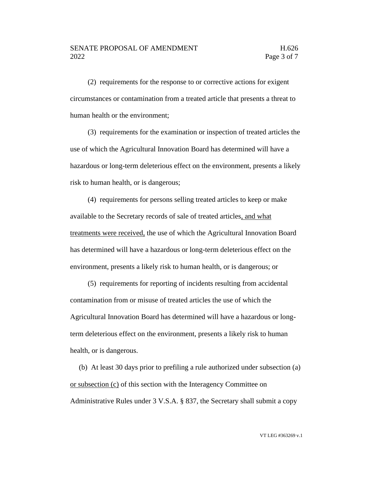#### SENATE PROPOSAL OF AMENDMENT FROM H.626 2022 **Page 3 of 7**

(2) requirements for the response to or corrective actions for exigent circumstances or contamination from a treated article that presents a threat to human health or the environment;

(3) requirements for the examination or inspection of treated articles the use of which the Agricultural Innovation Board has determined will have a hazardous or long-term deleterious effect on the environment, presents a likely risk to human health, or is dangerous;

(4) requirements for persons selling treated articles to keep or make available to the Secretary records of sale of treated articles, and what treatments were received, the use of which the Agricultural Innovation Board has determined will have a hazardous or long-term deleterious effect on the environment, presents a likely risk to human health, or is dangerous; or

(5) requirements for reporting of incidents resulting from accidental contamination from or misuse of treated articles the use of which the Agricultural Innovation Board has determined will have a hazardous or longterm deleterious effect on the environment, presents a likely risk to human health, or is dangerous.

(b) At least 30 days prior to prefiling a rule authorized under subsection (a) or subsection (c) of this section with the Interagency Committee on Administrative Rules under 3 V.S.A. § 837, the Secretary shall submit a copy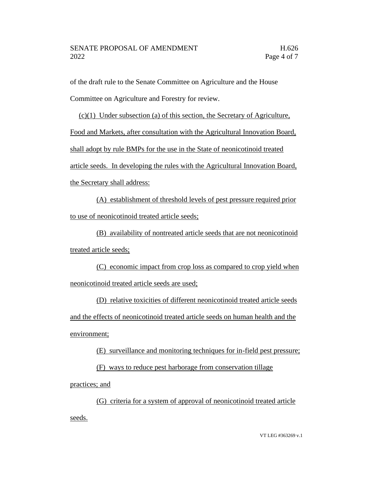of the draft rule to the Senate Committee on Agriculture and the House

Committee on Agriculture and Forestry for review.

(c)(1) Under subsection (a) of this section, the Secretary of Agriculture,

Food and Markets, after consultation with the Agricultural Innovation Board,

shall adopt by rule BMPs for the use in the State of neonicotinoid treated

article seeds. In developing the rules with the Agricultural Innovation Board,

the Secretary shall address:

(A) establishment of threshold levels of pest pressure required prior to use of neonicotinoid treated article seeds;

(B) availability of nontreated article seeds that are not neonicotinoid treated article seeds;

(C) economic impact from crop loss as compared to crop yield when neonicotinoid treated article seeds are used;

(D) relative toxicities of different neonicotinoid treated article seeds and the effects of neonicotinoid treated article seeds on human health and the environment;

(E) surveillance and monitoring techniques for in-field pest pressure; (F) ways to reduce pest harborage from conservation tillage practices; and

(G) criteria for a system of approval of neonicotinoid treated article seeds.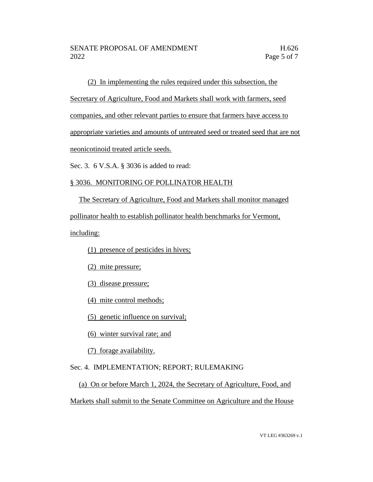(2) In implementing the rules required under this subsection, the

Secretary of Agriculture, Food and Markets shall work with farmers, seed

companies, and other relevant parties to ensure that farmers have access to

appropriate varieties and amounts of untreated seed or treated seed that are not

neonicotinoid treated article seeds.

Sec. 3. 6 V.S.A. § 3036 is added to read:

## § 3036. MONITORING OF POLLINATOR HEALTH

The Secretary of Agriculture, Food and Markets shall monitor managed pollinator health to establish pollinator health benchmarks for Vermont,

including:

(1) presence of pesticides in hives;

(2) mite pressure;

(3) disease pressure;

(4) mite control methods;

(5) genetic influence on survival;

(6) winter survival rate; and

(7) forage availability.

# Sec. 4. IMPLEMENTATION; REPORT; RULEMAKING

### (a) On or before March 1, 2024, the Secretary of Agriculture, Food, and

Markets shall submit to the Senate Committee on Agriculture and the House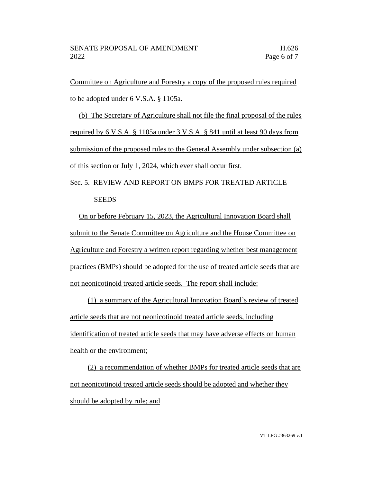Committee on Agriculture and Forestry a copy of the proposed rules required to be adopted under 6 V.S.A. § 1105a.

(b) The Secretary of Agriculture shall not file the final proposal of the rules required by 6 V.S.A. § 1105a under 3 V.S.A. § 841 until at least 90 days from submission of the proposed rules to the General Assembly under subsection (a) of this section or July 1, 2024, which ever shall occur first.

Sec. 5. REVIEW AND REPORT ON BMPS FOR TREATED ARTICLE **SEEDS** 

On or before February 15, 2023, the Agricultural Innovation Board shall submit to the Senate Committee on Agriculture and the House Committee on Agriculture and Forestry a written report regarding whether best management practices (BMPs) should be adopted for the use of treated article seeds that are not neonicotinoid treated article seeds. The report shall include:

(1) a summary of the Agricultural Innovation Board's review of treated article seeds that are not neonicotinoid treated article seeds, including identification of treated article seeds that may have adverse effects on human health or the environment;

(2) a recommendation of whether BMPs for treated article seeds that are not neonicotinoid treated article seeds should be adopted and whether they should be adopted by rule; and